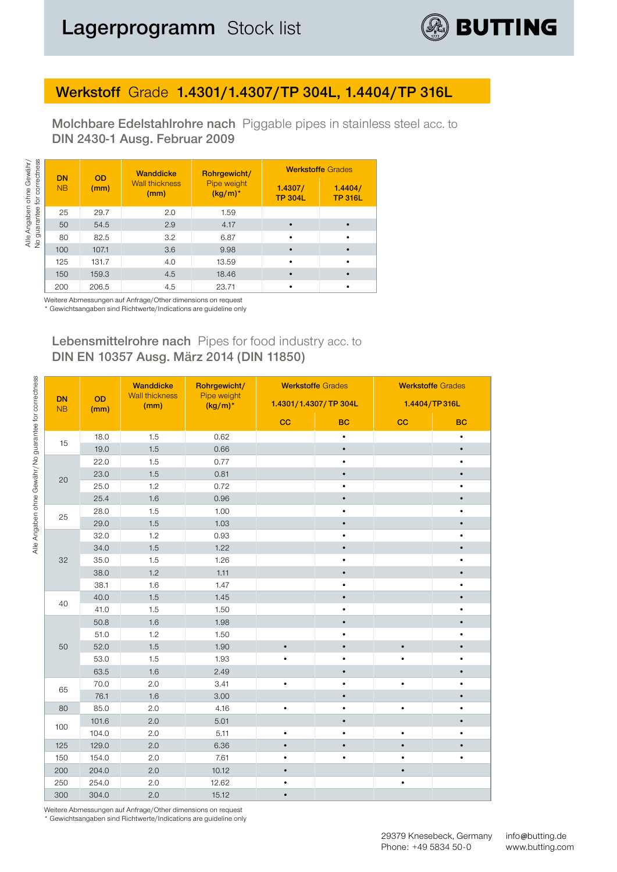

### **Werkstoff** Grade **1.4301/1.4307/TP 304L, 1.4404/TP 316L**

**Molchbare Edelstahlrohre nach** Piggable pipes in stainless steel acc. to **DIN 2430-1 Ausg. Februar 2009**

|           |           | <b>Wanddicke</b>              | Rohrgewicht/              |                           | <b>Werkstoffe Grades</b>  |
|-----------|-----------|-------------------------------|---------------------------|---------------------------|---------------------------|
| <b>NB</b> | (mm)      | <b>Wall thickness</b><br>(mm) | Pipe weight<br>$(kg/m)^*$ | 1.4307/<br><b>TP 304L</b> | 1.4404/<br><b>TP 316L</b> |
| 25        | 29.7      | 2.0                           | 1.59                      |                           |                           |
| 50        | 54.5      | 2.9                           | 4.17                      |                           |                           |
| 80        | 82.5      | 3.2                           | 6.87                      |                           |                           |
| 100       | 107.1     | 3.6                           | 9.98                      |                           |                           |
| 125       | 131.7     | 4.0                           | 13.59                     |                           |                           |
| 150       | 159.3     | 4.5                           | 18.46                     |                           |                           |
| 200       | 206.5     | 4.5                           | 23.71                     |                           |                           |
|           | <b>DN</b> | <b>OD</b><br>.                |                           |                           |                           |

Weitere Abmessungen auf Anfrage/Other dimensions on request \* Gewichtsangaben sind Richtwerte/Indications are guideline only

#### **Lebensmittelrohre nach** Pipes for food industry acc. to **DIN EN 10357 Ausg. März 2014 (DIN 11850)**

|                 |            | <b>Wanddicke</b>              | Rohrgewicht/              |           | <b>Werkstoffe Grades</b> | <b>Werkstoffe Grades</b> |               |  |  |
|-----------------|------------|-------------------------------|---------------------------|-----------|--------------------------|--------------------------|---------------|--|--|
| <b>DN</b><br>NB | OD<br>(mm) | <b>Wall thickness</b><br>(mm) | Pipe weight<br>$(kg/m)^*$ |           | 1.4301/1.4307/TP 304L    |                          | 1.4404/TP316L |  |  |
|                 |            |                               |                           | cc        | <b>BC</b>                | cc                       | <b>BC</b>     |  |  |
| 15              | 18.0       | 1.5                           | 0.62                      |           | $\bullet$                |                          | $\bullet$     |  |  |
|                 | 19.0       | 1.5                           | 0.66                      |           | $\bullet$                |                          | $\bullet$     |  |  |
|                 | 22.0       | 1.5                           | 0.77                      |           | $\bullet$                |                          | ٠             |  |  |
| 20              | 23.0       | 1.5                           | 0.81                      |           | $\bullet$                |                          | $\bullet$     |  |  |
|                 | 25.0       | 1.2                           | 0.72                      |           | $\bullet$                |                          | ٠             |  |  |
|                 | 25.4       | 1.6                           | 0.96                      |           |                          |                          | $\bullet$     |  |  |
| 25              | 28.0       | 1.5                           | 1.00                      |           | $\bullet$                |                          | $\bullet$     |  |  |
|                 | 29.0       | 1.5                           | 1.03                      |           | $\bullet$                |                          | $\bullet$     |  |  |
|                 | 32.0       | 1.2                           | 0.93                      |           | $\bullet$                |                          | $\bullet$     |  |  |
|                 | 34.0       | 1.5                           | 1.22                      |           | $\bullet$                |                          | $\bullet$     |  |  |
| 32              | 35.0       | 1.5                           | 1.26                      |           | $\bullet$                |                          | $\bullet$     |  |  |
|                 | 38.0       | 1.2                           | 1.11                      |           | $\bullet$                |                          | $\bullet$     |  |  |
|                 | 38.1       | 1.6                           | 1.47                      |           | $\bullet$                |                          | $\bullet$     |  |  |
| 40              | 40.0       | 1.5                           | 1.45                      |           | $\bullet$                |                          | $\bullet$     |  |  |
|                 | 41.0       | 1.5                           | 1.50                      |           | ٠                        |                          |               |  |  |
|                 | 50.8       | 1.6                           | 1.98                      |           | $\bullet$                |                          |               |  |  |
|                 | 51.0       | 1.2                           | 1.50                      |           | $\bullet$                |                          | $\bullet$     |  |  |
| 50              | 52.0       | 1.5                           | 1.90                      | $\bullet$ | $\bullet$                | $\bullet$                | $\bullet$     |  |  |
|                 | 53.0       | 1.5                           | 1.93                      | $\bullet$ | $\bullet$                | $\bullet$                | ٠             |  |  |
|                 | 63.5       | 1.6                           | 2.49                      |           | $\bullet$                |                          | $\bullet$     |  |  |
|                 | 70.0       | 2.0                           | 3.41                      | $\bullet$ | $\bullet$                | $\bullet$                | $\bullet$     |  |  |
| 65              | 76.1       | 1.6                           | 3.00                      |           | $\bullet$                |                          | $\bullet$     |  |  |
| 80              | 85.0       | 2.0                           | 4.16                      | $\bullet$ | $\bullet$                | $\bullet$                | $\bullet$     |  |  |
|                 | 101.6      | 2.0                           | 5.01                      |           | $\bullet$                |                          | $\bullet$     |  |  |
| 100             | 104.0      | 2.0                           | 5.11                      | $\bullet$ | $\bullet$                | $\bullet$                | $\bullet$     |  |  |
| 125             | 129.0      | 2.0                           | 6.36                      | $\bullet$ |                          |                          |               |  |  |
| 150             | 154.0      | 2.0                           | 7.61                      | $\bullet$ |                          |                          |               |  |  |
| 200             | 204.0      | 2.0                           | 10.12                     | $\bullet$ |                          |                          |               |  |  |
| 250             | 254.0      | 2.0                           | 12.62                     | $\bullet$ |                          | $\bullet$                |               |  |  |
| 300             | 304.0      | 2.0                           | 15.12                     | $\bullet$ |                          |                          |               |  |  |

Weitere Abmessungen auf Anfrage/Other dimensions on request

\* Gewichtsangaben sind Richtwerte/Indications are guideline only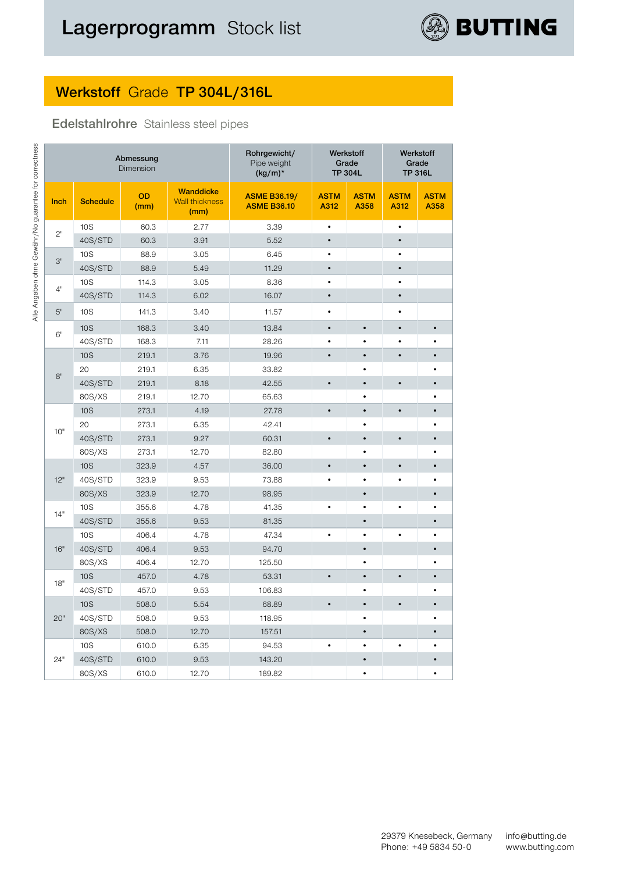

# **Werkstoff** Grade **TP 304L/316L**

#### **Edelstahlrohre** Stainless steel pipes

|      |                               | Abmessung<br>Dimension |                                                   | Rohrgewicht/<br>Pipe weight<br>$(kg/m)^*$ | Werkstoff<br>Grade<br><b>TP 304L</b> |                     |                     | Werkstoff<br>Grade<br><b>TP 316L</b> |  |  |
|------|-------------------------------|------------------------|---------------------------------------------------|-------------------------------------------|--------------------------------------|---------------------|---------------------|--------------------------------------|--|--|
| Inch | OD<br><b>Schedule</b><br>(mm) |                        | <b>Wanddicke</b><br><b>Wall thickness</b><br>(mm) | <b>ASME B36.19/</b><br><b>ASME B36.10</b> | <b>ASTM</b><br>A312                  | <b>ASTM</b><br>A358 | <b>ASTM</b><br>A312 | <b>ASTM</b><br>A358                  |  |  |
| 2"   | <b>10S</b>                    | 60.3                   | 2.77                                              | 3.39                                      | $\bullet$                            |                     | $\bullet$           |                                      |  |  |
|      | 40S/STD                       | 60.3                   | 3.91                                              | 5.52                                      | $\bullet$                            |                     | $\bullet$           |                                      |  |  |
| 3"   | 10S                           | 88.9                   | 3.05                                              | 6.45                                      | $\bullet$                            |                     | $\bullet$           |                                      |  |  |
|      | 40S/STD                       | 88.9                   | 5.49                                              | 11.29                                     | $\bullet$                            |                     | $\bullet$           |                                      |  |  |
| 4"   | 10S                           | 114.3                  | 3.05                                              | 8.36                                      | $\bullet$                            |                     | $\bullet$           |                                      |  |  |
|      | 40S/STD                       | 114.3                  | 6.02                                              | 16.07                                     | $\bullet$                            |                     | $\bullet$           |                                      |  |  |
| 5"   | 10S                           | 141.3                  | 3.40                                              | 11.57                                     |                                      |                     | ٠                   |                                      |  |  |
| 6"   | <b>10S</b>                    | 168.3                  | 3.40                                              | 13.84                                     | $\bullet$                            | $\bullet$           | $\bullet$           |                                      |  |  |
|      | 40S/STD                       | 168.3                  | 7.11                                              | 28.26                                     | $\bullet$                            | $\bullet$           | $\bullet$           |                                      |  |  |
|      | <b>10S</b>                    | 219.1                  | 3.76                                              | 19.96                                     | $\bullet$                            | $\bullet$           | $\bullet$           | $\bullet$                            |  |  |
| 8"   | 20                            | 219.1                  | 6.35                                              | 33.82                                     |                                      | $\bullet$           |                     |                                      |  |  |
|      | 40S/STD                       | 219.1                  | 8.18                                              | 42.55                                     | $\bullet$                            | $\bullet$           | $\bullet$           |                                      |  |  |
|      | 80S/XS                        | 219.1                  | 12.70                                             | 65.63                                     |                                      |                     |                     |                                      |  |  |
|      | <b>10S</b>                    | 273.1                  | 4.19                                              | 27.78                                     | $\bullet$                            | $\bullet$           | $\bullet$           |                                      |  |  |
| 10"  | 20                            | 273.1                  | 6.35                                              | 42.41                                     |                                      |                     |                     |                                      |  |  |
|      | 40S/STD                       | 273.1                  | 9.27                                              | 60.31                                     | $\bullet$                            | $\bullet$           | $\bullet$           |                                      |  |  |
|      | 80S/XS                        | 273.1                  | 12.70                                             | 82.80                                     |                                      |                     |                     |                                      |  |  |
|      | <b>10S</b>                    | 323.9                  | 4.57                                              | 36.00                                     | $\bullet$                            | $\bullet$           | $\bullet$           |                                      |  |  |
| 12"  | 40S/STD                       | 323.9                  | 9.53                                              | 73.88                                     |                                      | $\bullet$           | $\bullet$           |                                      |  |  |
|      | 80S/XS                        | 323.9                  | 12.70                                             | 98.95                                     |                                      | $\bullet$           |                     |                                      |  |  |
| 14"  | <b>10S</b>                    | 355.6                  | 4.78                                              | 41.35                                     | $\bullet$                            | $\bullet$           | $\bullet$           |                                      |  |  |
|      | 40S/STD                       | 355.6                  | 9.53                                              | 81.35                                     |                                      | $\bullet$           |                     |                                      |  |  |
|      | <b>10S</b>                    | 406.4                  | 4.78                                              | 47.34                                     | $\bullet$                            | $\bullet$           | $\bullet$           |                                      |  |  |
| 16"  | 40S/STD                       | 406.4                  | 9.53                                              | 94.70                                     |                                      | $\bullet$           |                     |                                      |  |  |
|      | 80S/XS                        | 406.4                  | 12.70                                             | 125.50                                    |                                      | $\bullet$           |                     |                                      |  |  |
| 18"  | <b>10S</b>                    | 457.0                  | 4.78                                              | 53.31                                     | $\bullet$                            | $\bullet$           | $\bullet$           | $\bullet$                            |  |  |
|      | 40S/STD                       | 457.0                  | 9.53                                              | 106.83                                    |                                      | $\bullet$           |                     |                                      |  |  |
|      | <b>10S</b>                    | 508.0                  | 5.54                                              | 68.89                                     | $\bullet$                            | $\bullet$           | $\bullet$           |                                      |  |  |
| 20"  | 40S/STD                       | 508.0                  | 9.53                                              | 118.95                                    |                                      |                     |                     |                                      |  |  |
|      | 80S/XS                        | 508.0                  | 12.70                                             | 157.51                                    |                                      | $\bullet$           |                     |                                      |  |  |
|      | 10S                           | 610.0                  | 6.35                                              | 94.53                                     |                                      |                     | $\bullet$           |                                      |  |  |
| 24"  | 40S/STD                       | 610.0                  | 9.53                                              | 143.20                                    |                                      | $\bullet$           |                     |                                      |  |  |
|      | 80S/XS                        | 610.0                  | 12.70                                             | 189.82                                    |                                      |                     |                     |                                      |  |  |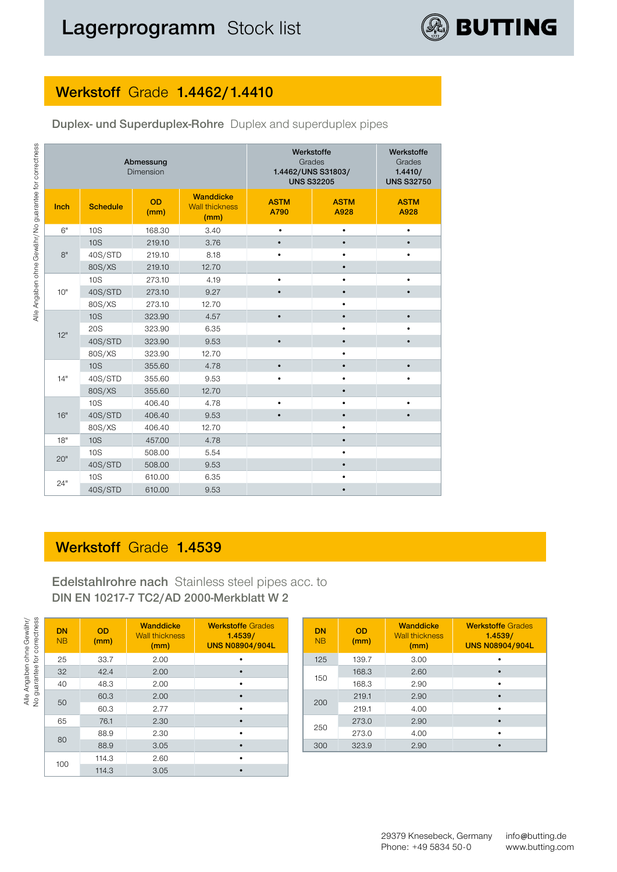# **Werkstoff** Grade **1.4462/1.4410**

| <b>Duplex- und Superduplex-Rohre</b> Duplex and superduplex pipes |  |
|-------------------------------------------------------------------|--|
|-------------------------------------------------------------------|--|

|      |                 | Abmessung<br>Dimension |                                                   | Werkstoffe<br>Grades<br>1.4462/UNS S31803/<br><b>UNS S32205</b> | Werkstoffe<br>Grades<br>1.4410/<br><b>UNS S32750</b> |                     |  |
|------|-----------------|------------------------|---------------------------------------------------|-----------------------------------------------------------------|------------------------------------------------------|---------------------|--|
| Inch | <b>Schedule</b> | <b>OD</b><br>(mm)      | <b>Wanddicke</b><br><b>Wall thickness</b><br>(mm) | <b>ASTM</b><br>A790                                             | <b>ASTM</b><br>A928                                  | <b>ASTM</b><br>A928 |  |
| 6"   | <b>10S</b>      | 168.30                 | 3.40                                              | $\bullet$                                                       | $\bullet$                                            | $\bullet$           |  |
|      | <b>10S</b>      | 219.10                 | 3.76                                              | $\bullet$                                                       |                                                      |                     |  |
| 8"   | 40S/STD         | 219.10                 | 8.18                                              | $\bullet$                                                       |                                                      |                     |  |
|      | 80S/XS          | 219.10                 | 12.70                                             |                                                                 | $\bullet$                                            |                     |  |
|      | <b>10S</b>      | 273.10                 | 4.19                                              | $\bullet$                                                       |                                                      | ٠                   |  |
| 10"  | 40S/STD         | 273.10                 | 9.27                                              | $\bullet$                                                       | $\bullet$                                            | $\bullet$           |  |
|      | 80S/XS          | 273.10                 | 12.70                                             |                                                                 | ٠                                                    |                     |  |
|      | <b>10S</b>      | 323.90                 | 4.57                                              | $\bullet$                                                       |                                                      | $\bullet$           |  |
| 12"  | <b>20S</b>      | 323.90                 | 6.35                                              |                                                                 | ٠                                                    |                     |  |
|      | 40S/STD         | 323.90                 | 9.53                                              | $\bullet$                                                       | $\bullet$                                            | $\bullet$           |  |
|      | 80S/XS          | 323.90                 | 12.70                                             |                                                                 |                                                      |                     |  |
|      | <b>10S</b>      | 355.60                 | 4.78                                              | $\bullet$                                                       |                                                      | $\bullet$           |  |
| 14"  | 40S/STD         | 355.60                 | 9.53                                              | $\bullet$                                                       | $\bullet$                                            | $\bullet$           |  |
|      | 80S/XS          | 355.60                 | 12.70                                             |                                                                 |                                                      |                     |  |
|      | 10S             | 406.40                 | 4.78                                              | $\bullet$                                                       |                                                      | ٠                   |  |
| 16"  | 40S/STD         | 406.40                 | 9.53                                              | $\bullet$                                                       |                                                      |                     |  |
|      | 80S/XS          | 406.40                 | 12.70                                             |                                                                 | $\bullet$                                            |                     |  |
| 18"  | <b>10S</b>      | 457.00                 | 4.78                                              |                                                                 |                                                      |                     |  |
| 20"  | 10S             | 508.00                 | 5.54                                              |                                                                 | $\bullet$                                            |                     |  |
|      | 40S/STD         | 508.00                 | 9.53                                              |                                                                 |                                                      |                     |  |
|      | 10S             | 610.00                 | 6.35                                              |                                                                 |                                                      |                     |  |
| 24"  | 40S/STD         | 610.00                 | 9.53                                              |                                                                 |                                                      |                     |  |

### **Werkstoff** Grade **1.4539**

**Edelstahlrohre nach** Stainless steel pipes acc. to **DIN EN 10217-7 TC2/AD 2000-Merkblatt W 2**

| correctness<br>ohne Gewähr/<br>for<br>Alle Angaben o<br>guarantee | <b>DN</b><br><b>NB</b> | <b>OD</b><br>(mm) | <b>Wanddicke</b><br><b>Wall thickness</b><br>(mm) | <b>Werkstoffe Grades</b><br>1.4539/<br><b>UNS N08904/904L</b> |  | <b>DN</b><br>N <sub>B</sub> | <b>OD</b><br>(mm) | <b>Wanddicke</b><br><b>Wall thickness</b><br>(mm) | <b>Werkstoffe Grades</b><br>1.4539/<br><b>UNS N08904/904L</b> |      |           |
|-------------------------------------------------------------------|------------------------|-------------------|---------------------------------------------------|---------------------------------------------------------------|--|-----------------------------|-------------------|---------------------------------------------------|---------------------------------------------------------------|------|-----------|
|                                                                   | 25                     | 33.7              | 2.00                                              |                                                               |  | 125                         | 139.7             | 3.00                                              | ٠                                                             |      |           |
|                                                                   | 32                     | 42.4              | 2.00                                              |                                                               |  | 150                         | 168.3             | 2.60                                              | $\bullet$                                                     |      |           |
|                                                                   | 40                     | 48.3              | 2.00                                              |                                                               |  |                             | 168.3             | 2.90                                              | $\bullet$                                                     |      |           |
|                                                                   | 50                     | 60.3              | 2.00                                              |                                                               |  | 200                         | 219.1             | 2.90                                              | $\bullet$                                                     |      |           |
|                                                                   |                        | 60.3              | 2.77                                              | $\bullet$                                                     |  |                             | 219.1             | 4.00                                              | $\bullet$                                                     |      |           |
|                                                                   | 65                     | 76.1              | 2.30                                              |                                                               |  |                             |                   |                                                   | 273.0                                                         | 2.90 | $\bullet$ |
|                                                                   | 80                     | 88.9              | 2.30                                              |                                                               |  | 250                         | 273.0             | 4.00                                              | ٠                                                             |      |           |
|                                                                   |                        | 88.9              | 3.05                                              |                                                               |  | 300                         | 323.9             | 2.90                                              | $\bullet$                                                     |      |           |
|                                                                   |                        | 114.3             | 2.60                                              |                                                               |  |                             |                   |                                                   |                                                               |      |           |
|                                                                   | 100                    | 114.3             | 3.05                                              |                                                               |  |                             |                   |                                                   |                                                               |      |           |